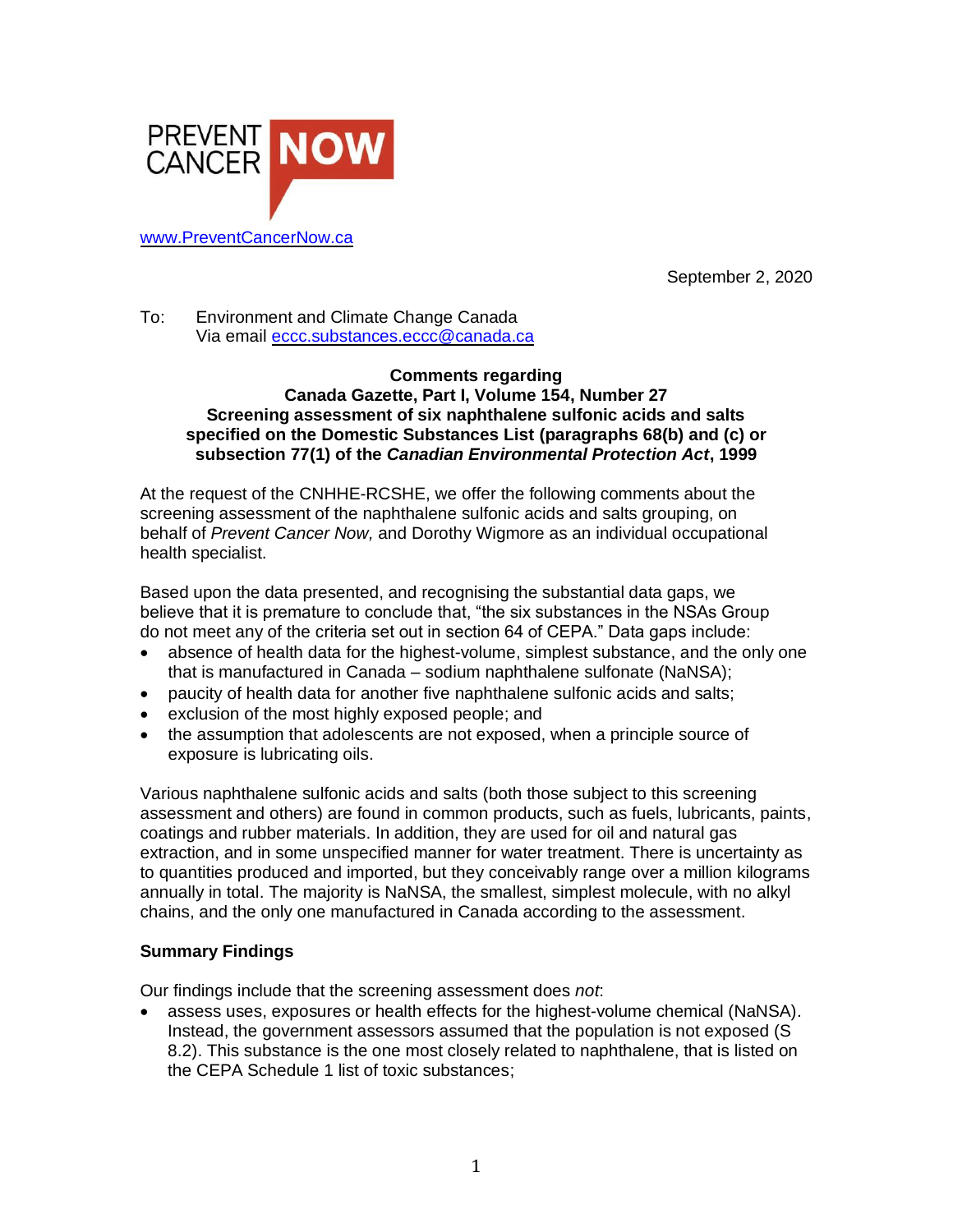

September 2, 2020

To: Environment and Climate Change Canada Via email [eccc.substances.eccc@canada.ca](mailto:eccc.substances.eccc@canada.ca)

#### **Comments regarding Canada Gazette, Part I, Volume 154, Number 27 Screening assessment of six naphthalene sulfonic acids and salts specified on the Domestic Substances List (paragraphs 68(b) and (c) or subsection 77(1) of the** *Canadian Environmental Protection Act***, 1999**

At the request of the CNHHE-RCSHE, we offer the following comments about the screening assessment of the naphthalene sulfonic acids and salts grouping, on behalf of *Prevent Cancer Now,* and Dorothy Wigmore as an individual occupational health specialist.

Based upon the data presented, and recognising the substantial data gaps, we believe that it is premature to conclude that, "the six substances in the NSAs Group do not meet any of the criteria set out in section 64 of CEPA." Data gaps include:

- absence of health data for the highest-volume, simplest substance, and the only one that is manufactured in Canada – sodium naphthalene sulfonate (NaNSA);
- paucity of health data for another five naphthalene sulfonic acids and salts;
- exclusion of the most highly exposed people; and
- the assumption that adolescents are not exposed, when a principle source of exposure is lubricating oils.

Various naphthalene sulfonic acids and salts (both those subject to this screening assessment and others) are found in common products, such as fuels, lubricants, paints, coatings and rubber materials. In addition, they are used for oil and natural gas extraction, and in some unspecified manner for water treatment. There is uncertainty as to quantities produced and imported, but they conceivably range over a million kilograms annually in total. The majority is NaNSA, the smallest, simplest molecule, with no alkyl chains, and the only one manufactured in Canada according to the assessment.

# **Summary Findings**

Our findings include that the screening assessment does *not*:

• assess uses, exposures or health effects for the highest-volume chemical (NaNSA). Instead, the government assessors assumed that the population is not exposed (S 8.2). This substance is the one most closely related to naphthalene, that is listed on the CEPA Schedule 1 list of toxic substances;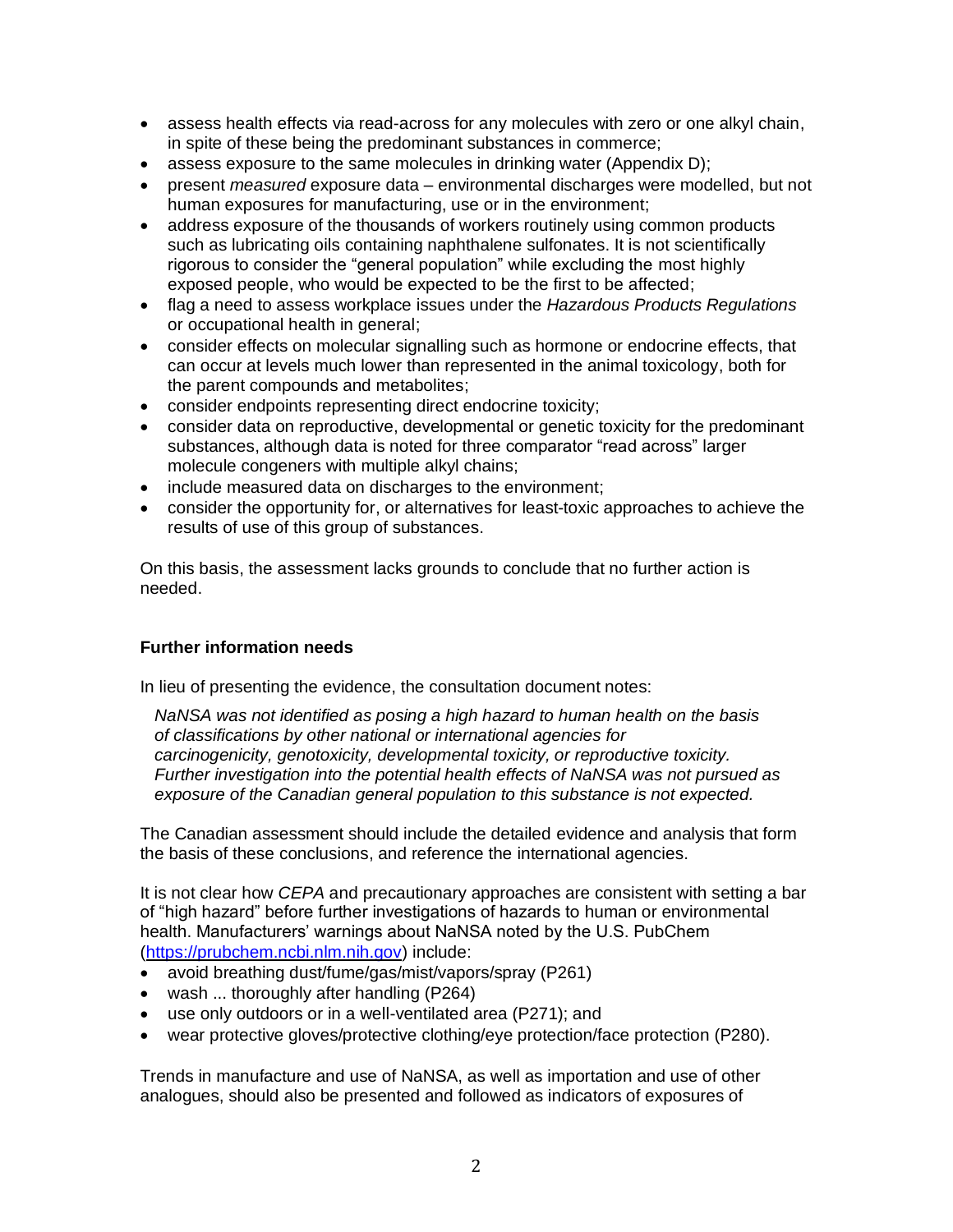- assess health effects via read-across for any molecules with zero or one alkyl chain, in spite of these being the predominant substances in commerce;
- assess exposure to the same molecules in drinking water (Appendix D);
- present *measured* exposure data environmental discharges were modelled, but not human exposures for manufacturing, use or in the environment;
- address exposure of the thousands of workers routinely using common products such as lubricating oils containing naphthalene sulfonates. It is not scientifically rigorous to consider the "general population" while excluding the most highly exposed people, who would be expected to be the first to be affected;
- flag a need to assess workplace issues under the *Hazardous Products Regulations* or occupational health in general;
- consider effects on molecular signalling such as hormone or endocrine effects, that can occur at levels much lower than represented in the animal toxicology, both for the parent compounds and metabolites;
- consider endpoints representing direct endocrine toxicity;
- consider data on reproductive, developmental or genetic toxicity for the predominant substances, although data is noted for three comparator "read across" larger molecule congeners with multiple alkyl chains;
- include measured data on discharges to the environment;
- consider the opportunity for, or alternatives for least-toxic approaches to achieve the results of use of this group of substances.

On this basis, the assessment lacks grounds to conclude that no further action is needed.

# **Further information needs**

In lieu of presenting the evidence, the consultation document notes:

*NaNSA was not identified as posing a high hazard to human health on the basis of classifications by other national or international agencies for carcinogenicity, genotoxicity, developmental toxicity, or reproductive toxicity. Further investigation into the potential health effects of NaNSA was not pursued as exposure of the Canadian general population to this substance is not expected.*

The Canadian assessment should include the detailed evidence and analysis that form the basis of these conclusions, and reference the international agencies.

It is not clear how *CEPA* and precautionary approaches are consistent with setting a bar of "high hazard" before further investigations of hazards to human or environmental health. Manufacturers' warnings about NaNSA noted by the U.S. PubChem [\(https://prubchem.ncbi.nlm.nih.gov\)](https://prubchem.ncbi.nlm.nih.gov/) include:

- avoid breathing dust/fume/gas/mist/vapors/spray (P261)
- wash ... thoroughly after handling (P264)
- use only outdoors or in a well-ventilated area (P271); and
- wear protective gloves/protective clothing/eye protection/face protection (P280).

Trends in manufacture and use of NaNSA, as well as importation and use of other analogues, should also be presented and followed as indicators of exposures of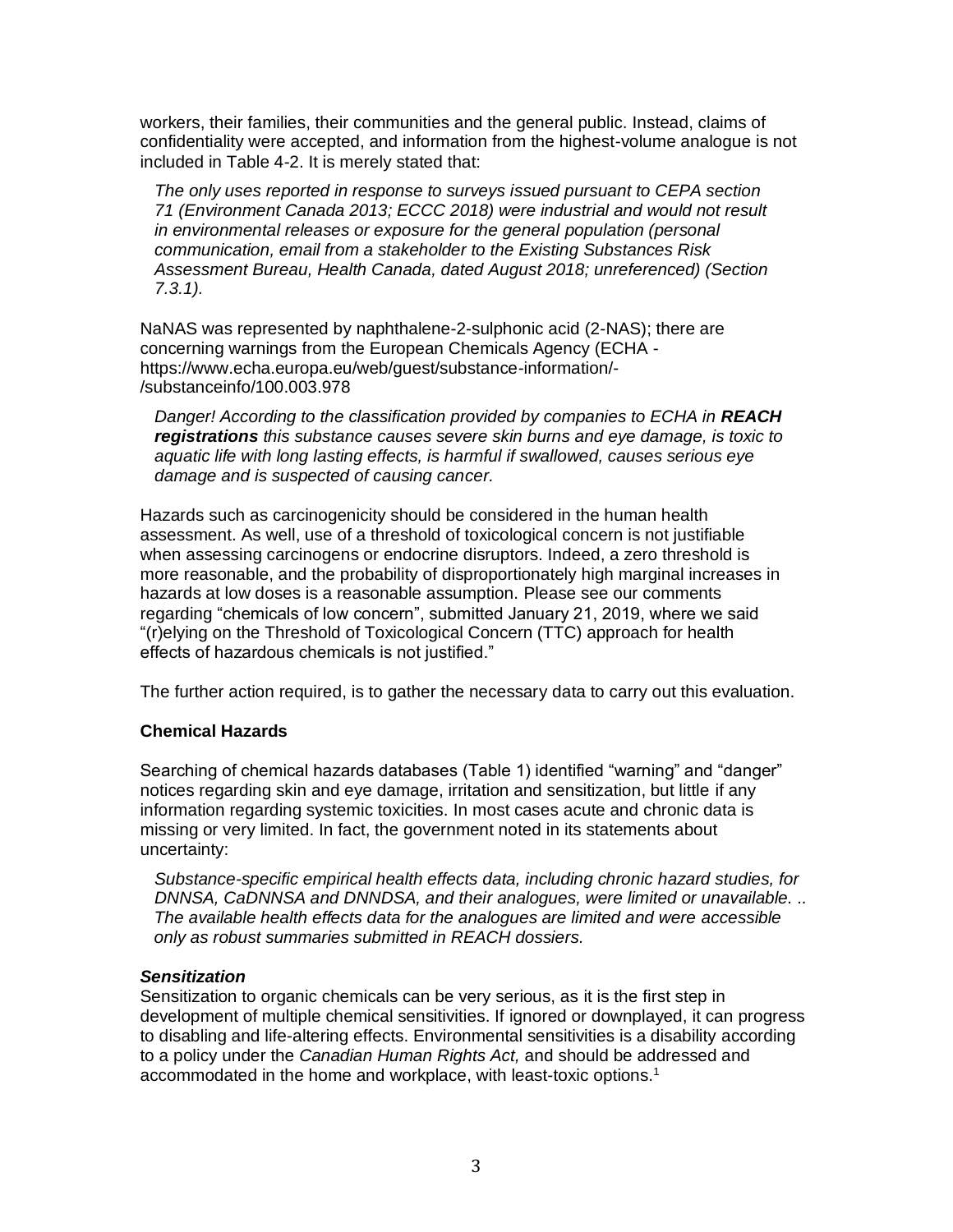workers, their families, their communities and the general public. Instead, claims of confidentiality were accepted, and information from the highest-volume analogue is not included in Table 4-2. It is merely stated that:

*The only uses reported in response to surveys issued pursuant to CEPA section 71 (Environment Canada 2013; ECCC 2018) were industrial and would not result in environmental releases or exposure for the general population (personal communication, email from a stakeholder to the Existing Substances Risk Assessment Bureau, Health Canada, dated August 2018; unreferenced) (Section 7.3.1).*

NaNAS was represented by naphthalene-2-sulphonic acid (2-NAS); there are concerning warnings from the European Chemicals Agency (ECHA [https://www.echa.europa.eu/web/guest/substance-information/-](https://www.echa.europa.eu/web/guest/substance-information/-/substanceinfo/100.003.978) [/substanceinfo/100.003.978](https://www.echa.europa.eu/web/guest/substance-information/-/substanceinfo/100.003.978)

*Danger! According to the classification provided by companies to ECHA in REACH registrations this substance causes severe skin burns and eye damage, is toxic to aquatic life with long lasting effects, is harmful if swallowed, causes serious eye damage and is suspected of causing cancer.*

Hazards such as carcinogenicity should be considered in the human health assessment. As well, use of a threshold of toxicological concern is not justifiable when assessing carcinogens or endocrine disruptors. Indeed, a zero threshold is more reasonable, and the probability of disproportionately high marginal increases in hazards at low doses is a reasonable assumption. Please see our comments regarding "chemicals of low concern", submitted January 21, 2019, where we said "(r)elying on the Threshold of Toxicological Concern (TTC) approach for health effects of hazardous chemicals is not justified."

The further action required, is to gather the necessary data to carry out this evaluation.

# **Chemical Hazards**

Searching of chemical hazards databases (Table 1) identified "warning" and "danger" notices regarding skin and eye damage, irritation and sensitization, but little if any information regarding systemic toxicities. In most cases acute and chronic data is missing or very limited. In fact, the government noted in its statements about uncertainty:

*Substance-specific empirical health effects data, including chronic hazard studies, for DNNSA, CaDNNSA and DNNDSA, and their analogues, were limited or unavailable. .. The available health effects data for the analogues are limited and were accessible only as robust summaries submitted in REACH dossiers.*

#### *Sensitization*

Sensitization to organic chemicals can be very serious, as it is the first step in development of multiple chemical sensitivities. If ignored or downplayed, it can progress to disabling and life-altering effects. Environmental sensitivities is a disability according to a policy under the *Canadian Human Rights Act,* and should be addressed and accommodated in the home and workplace, with least-toxic options.<sup>1</sup>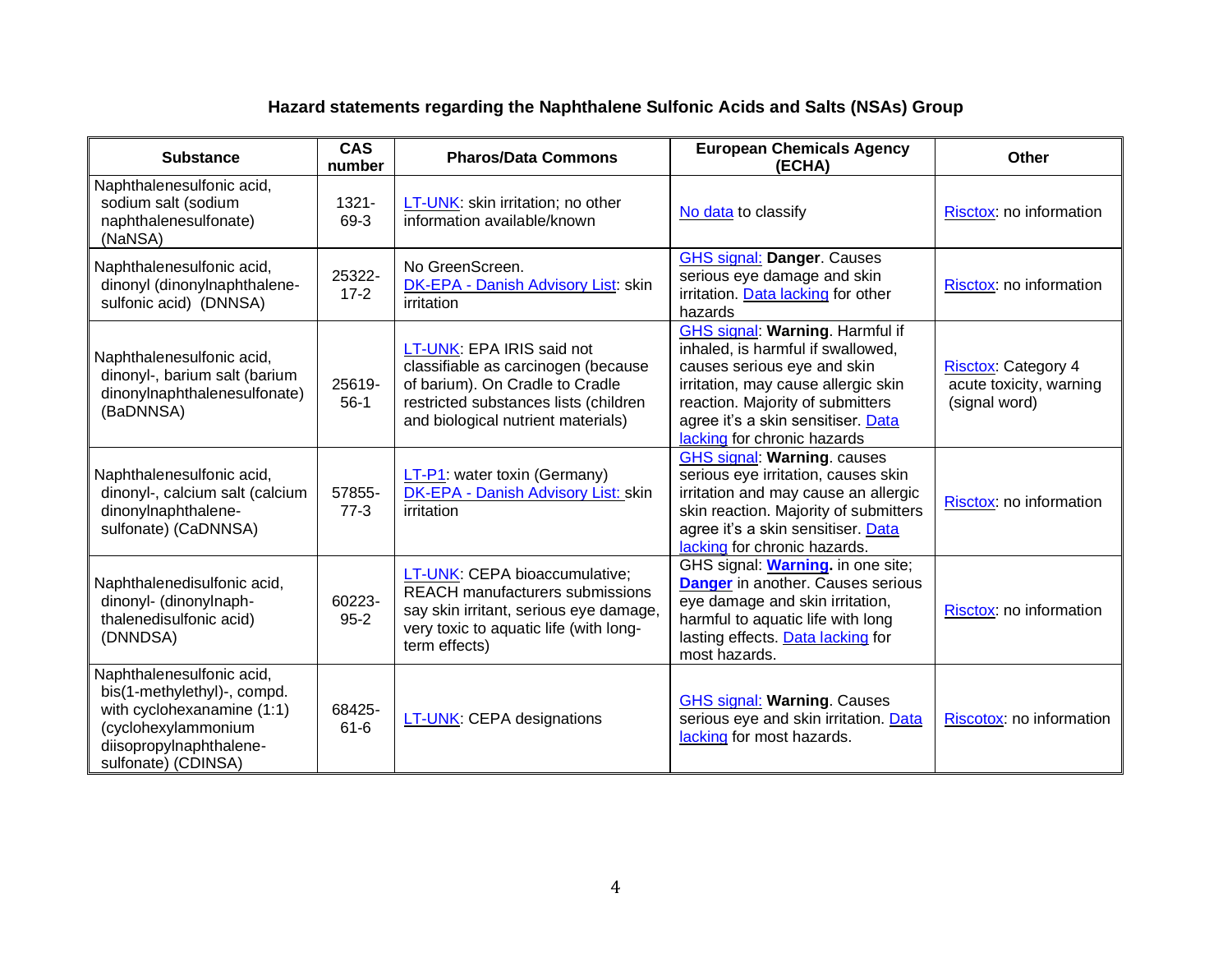# **Hazard statements regarding the Naphthalene Sulfonic Acids and Salts (NSAs) Group**

| <b>Substance</b>                                                                                                                                                | <b>CAS</b><br>number | <b>Pharos/Data Commons</b>                                                                                                                                                         | <b>European Chemicals Agency</b><br>(ECHA)                                                                                                                                                                                                                 | Other                                                                  |
|-----------------------------------------------------------------------------------------------------------------------------------------------------------------|----------------------|------------------------------------------------------------------------------------------------------------------------------------------------------------------------------------|------------------------------------------------------------------------------------------------------------------------------------------------------------------------------------------------------------------------------------------------------------|------------------------------------------------------------------------|
| Naphthalenesulfonic acid,<br>sodium salt (sodium<br>naphthalenesulfonate)<br>(NaNSA)                                                                            | $1321 -$<br>69-3     | LT-UNK: skin irritation; no other<br>information available/known                                                                                                                   | No data to classify                                                                                                                                                                                                                                        | Risctox: no information                                                |
| Naphthalenesulfonic acid,<br>dinonyl (dinonylnaphthalene-<br>sulfonic acid) (DNNSA)                                                                             | 25322-<br>$17-2$     | No GreenScreen.<br><b>DK-EPA - Danish Advisory List: skin</b><br>irritation                                                                                                        | <b>GHS signal: Danger. Causes</b><br>serious eye damage and skin<br>irritation. Data lacking for other<br>hazards                                                                                                                                          | Risctox: no information                                                |
| Naphthalenesulfonic acid,<br>dinonyl-, barium salt (barium<br>dinonylnaphthalenesulfonate)<br>(BaDNNSA)                                                         | 25619-<br>$56-1$     | LT-UNK: EPA IRIS said not<br>classifiable as carcinogen (because<br>of barium). On Cradle to Cradle<br>restricted substances lists (children<br>and biological nutrient materials) | <b>GHS signal: Warning. Harmful if</b><br>inhaled, is harmful if swallowed,<br>causes serious eye and skin<br>irritation, may cause allergic skin<br>reaction. Majority of submitters<br>agree it's a skin sensitiser. Data<br>lacking for chronic hazards | <b>Risctox: Category 4</b><br>acute toxicity, warning<br>(signal word) |
| Naphthalenesulfonic acid,<br>dinonyl-, calcium salt (calcium<br>dinonylnaphthalene-<br>sulfonate) (CaDNNSA)                                                     | 57855-<br>$77-3$     | LT-P1: water toxin (Germany)<br>DK-EPA - Danish Advisory List: skin<br>irritation                                                                                                  | <b>GHS signal: Warning. causes</b><br>serious eye irritation, causes skin<br>irritation and may cause an allergic<br>skin reaction. Majority of submitters<br>agree it's a skin sensitiser. Data<br>lacking for chronic hazards.                           | Risctox: no information                                                |
| Naphthalenedisulfonic acid,<br>dinonyl- (dinonylnaph-<br>thalenedisulfonic acid)<br>(DNNDSA)                                                                    | 60223-<br>$95 - 2$   | LT-UNK: CEPA bioaccumulative;<br><b>REACH manufacturers submissions</b><br>say skin irritant, serious eye damage,<br>very toxic to aquatic life (with long-<br>term effects)       | GHS signal: <b>Warning</b> . in one site;<br><b>Danger</b> in another. Causes serious<br>eye damage and skin irritation,<br>harmful to aquatic life with long<br>lasting effects. Data lacking for<br>most hazards.                                        | Risctox: no information                                                |
| Naphthalenesulfonic acid,<br>bis(1-methylethyl)-, compd.<br>with cyclohexanamine (1:1)<br>(cyclohexylammonium<br>diisopropylnaphthalene-<br>sulfonate) (CDINSA) | 68425-<br>$61 - 6$   | LT-UNK: CEPA designations                                                                                                                                                          | <b>GHS signal: Warning. Causes</b><br>serious eye and skin irritation. Data<br>lacking for most hazards.                                                                                                                                                   | Riscotox: no information                                               |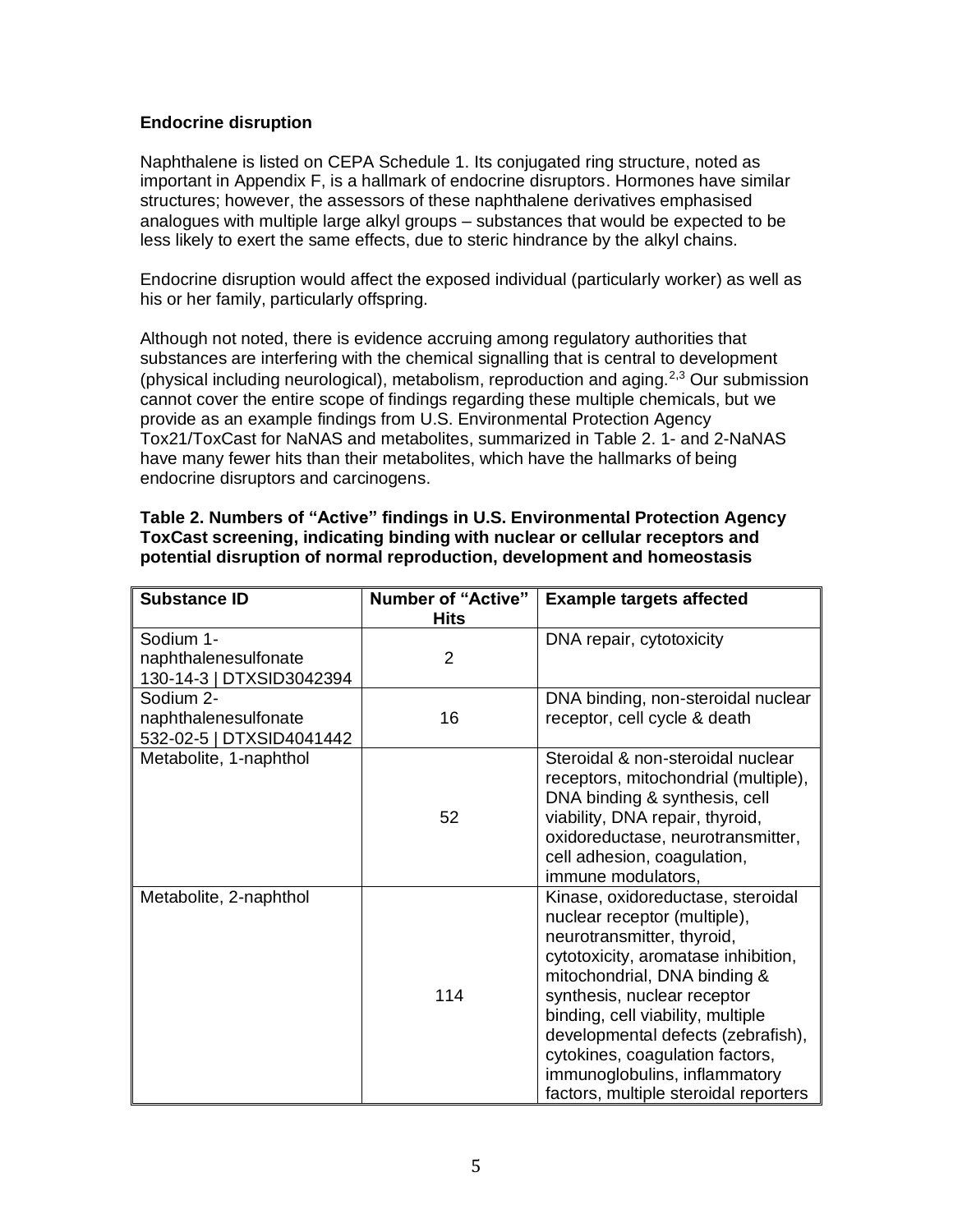## **Endocrine disruption**

Naphthalene is listed on CEPA Schedule 1. Its conjugated ring structure, noted as important in Appendix F, is a hallmark of endocrine disruptors. Hormones have similar structures; however, the assessors of these naphthalene derivatives emphasised analogues with multiple large alkyl groups – substances that would be expected to be less likely to exert the same effects, due to steric hindrance by the alkyl chains.

Endocrine disruption would affect the exposed individual (particularly worker) as well as his or her family, particularly offspring.

Although not noted, there is evidence accruing among regulatory authorities that substances are interfering with the chemical signalling that is central to development (physical including neurological), metabolism, reproduction and aging.<sup>2,3</sup> Our submission cannot cover the entire scope of findings regarding these multiple chemicals, but we provide as an example findings from U.S. Environmental Protection Agency Tox21/ToxCast for NaNAS and metabolites, summarized in Table 2. 1- and 2-NaNAS have many fewer hits than their metabolites, which have the hallmarks of being endocrine disruptors and carcinogens.

| Table 2. Numbers of "Active" findings in U.S. Environmental Protection Agency |
|-------------------------------------------------------------------------------|
| ToxCast screening, indicating binding with nuclear or cellular receptors and  |
| potential disruption of normal reproduction, development and homeostasis      |

| <b>Substance ID</b>                                           | <b>Number of "Active"</b><br><b>Hits</b> | <b>Example targets affected</b>                                                                                                                                                                                                                                                                                                                                                               |
|---------------------------------------------------------------|------------------------------------------|-----------------------------------------------------------------------------------------------------------------------------------------------------------------------------------------------------------------------------------------------------------------------------------------------------------------------------------------------------------------------------------------------|
| Sodium 1-<br>naphthalenesulfonate<br>130-14-3   DTXSID3042394 | $\overline{2}$                           | DNA repair, cytotoxicity                                                                                                                                                                                                                                                                                                                                                                      |
| Sodium 2-<br>naphthalenesulfonate<br>532-02-5   DTXSID4041442 | 16                                       | DNA binding, non-steroidal nuclear<br>receptor, cell cycle & death                                                                                                                                                                                                                                                                                                                            |
| Metabolite, 1-naphthol                                        | 52                                       | Steroidal & non-steroidal nuclear<br>receptors, mitochondrial (multiple),<br>DNA binding & synthesis, cell<br>viability, DNA repair, thyroid,<br>oxidoreductase, neurotransmitter,<br>cell adhesion, coagulation,<br>immune modulators,                                                                                                                                                       |
| Metabolite, 2-naphthol                                        | 114                                      | Kinase, oxidoreductase, steroidal<br>nuclear receptor (multiple),<br>neurotransmitter, thyroid,<br>cytotoxicity, aromatase inhibition,<br>mitochondrial, DNA binding &<br>synthesis, nuclear receptor<br>binding, cell viability, multiple<br>developmental defects (zebrafish),<br>cytokines, coagulation factors,<br>immunoglobulins, inflammatory<br>factors, multiple steroidal reporters |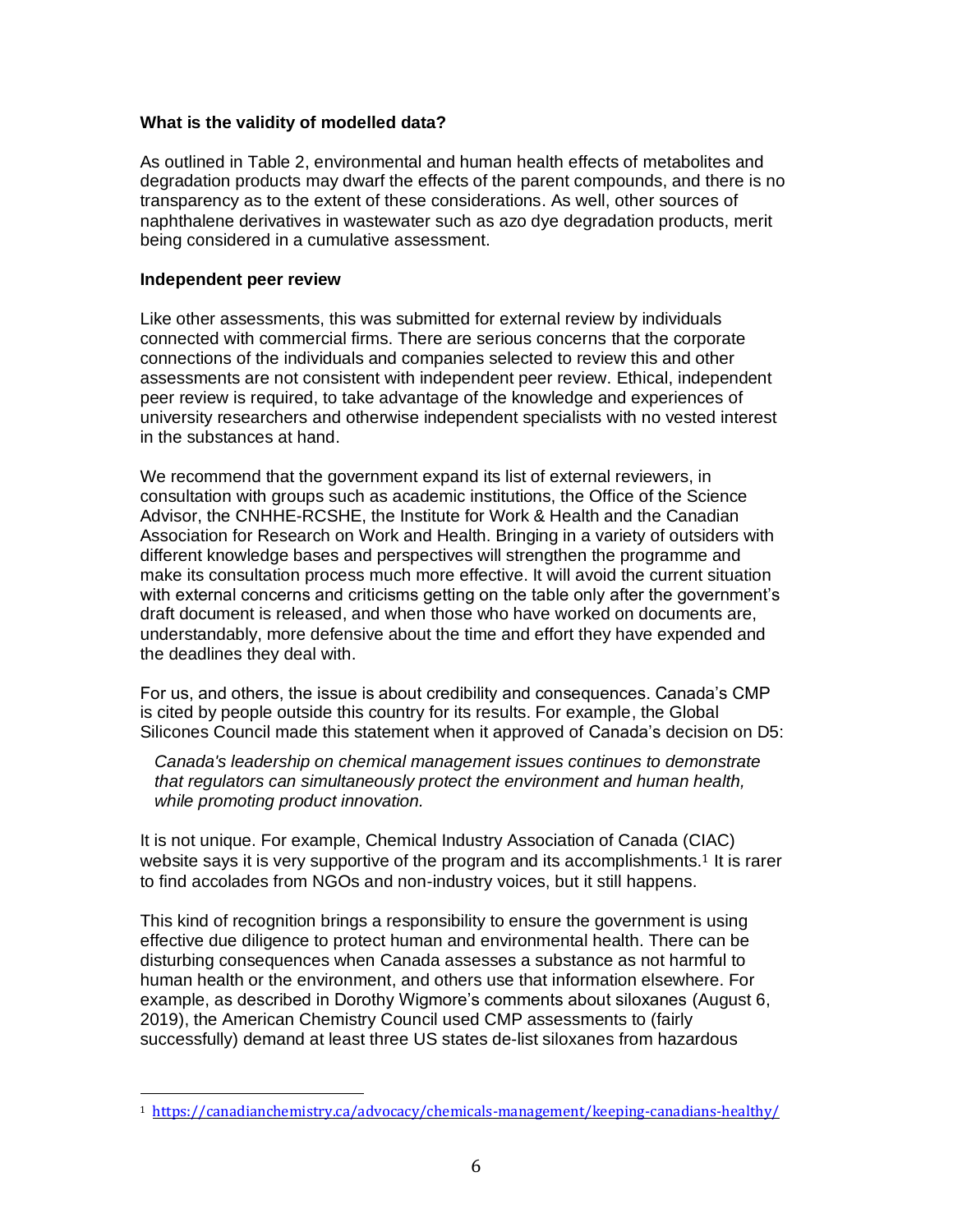## **What is the validity of modelled data?**

As outlined in Table 2, environmental and human health effects of metabolites and degradation products may dwarf the effects of the parent compounds, and there is no transparency as to the extent of these considerations. As well, other sources of naphthalene derivatives in wastewater such as azo dye degradation products, merit being considered in a cumulative assessment.

#### **Independent peer review**

Like other assessments, this was submitted for external review by individuals connected with commercial firms. There are serious concerns that the corporate connections of the individuals and companies selected to review this and other assessments are not consistent with independent peer review. Ethical, independent peer review is required, to take advantage of the knowledge and experiences of university researchers and otherwise independent specialists with no vested interest in the substances at hand.

We recommend that the government expand its list of external reviewers, in consultation with groups such as academic institutions, the Office of the Science Advisor, the CNHHE-RCSHE, the Institute for Work & Health and the Canadian Association for Research on Work and Health. Bringing in a variety of outsiders with different knowledge bases and perspectives will strengthen the programme and make its consultation process much more effective. It will avoid the current situation with external concerns and criticisms getting on the table only after the government's draft document is released, and when those who have worked on documents are, understandably, more defensive about the time and effort they have expended and the deadlines they deal with.

For us, and others, the issue is about credibility and consequences. Canada's CMP is cited by people outside this country for its results. For example, the Global Silicones Council made this statement when it approved of Canada's decision on D5:

*Canada's leadership on chemical management issues continues to demonstrate that regulators can simultaneously protect the environment and human health, while promoting product innovation.*

It is not unique. For example, Chemical Industry Association of Canada (CIAC) website says it is very supportive of the program and its accomplishments.<sup>1</sup> It is rarer to find accolades from NGOs and non-industry voices, but it still happens.

This kind of recognition brings a responsibility to ensure the government is using effective due diligence to protect human and environmental health. There can be disturbing consequences when Canada assesses a substance as not harmful to human health or the environment, and others use that information elsewhere. For example, as described in Dorothy Wigmore's comments about siloxanes (August 6, 2019), the American Chemistry Council used CMP assessments to (fairly successfully) demand at least three US states de-list siloxanes from hazardous

<sup>1</sup> <https://canadianchemistry.ca/advocacy/chemicals-management/keeping-canadians-healthy/>